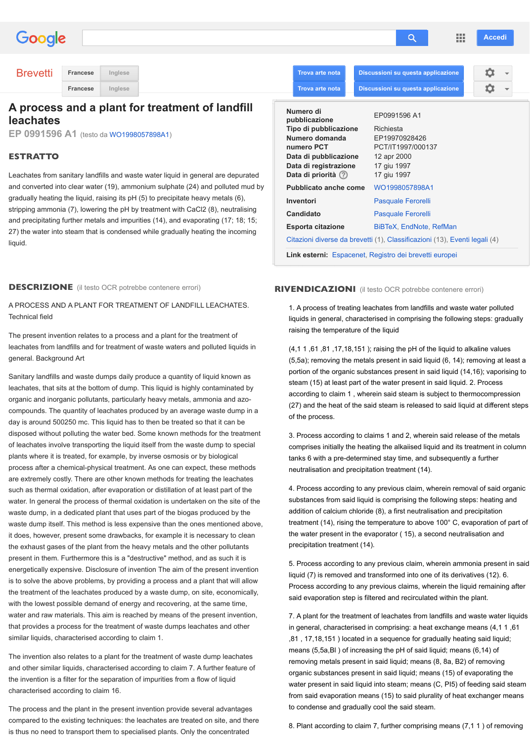#### Technical field

The present invention relates to a process and a plant for the treatment of le[achates from lan](http://www.google.com/webhp?hl=it&tab=tt)dfills and for treatment of waste waters and polluted liquids in general. Background Art

Sanitary landfills and waste dumps daily produce a quantity of liquid known as le[achates, that](http://www.google.com/patents?hl=it) sits at the bottom of dump. This liquid is highly contaminated by organic and inorganic pollutants, particularly heavy metals, ammonia and azocompounds. The quantity of leachates produced by an average waste dump in a day is around 500250 mc. This liquid has to then be treated so that it can be disposed without polluting the water bed. Some known methods for the treatment of leachates involve transportin[g the liquid itself from](http://www.google.com/patents/WO1998057898A1?hl=it&cl=en) the waste dump to special plants where it is treated, for example, by inverse osmosis or by biological process after a chemical-physical treatment. As one can expect, these methods are extremely costly. There are other known methods for treating the leachates such as thermal oxidation, after evaporation or distillation of at least part of the water. In general the process of thermal oxidation is undertaken on the site of the waste dump, in a dedicated plant that uses part of the biogas produced by the waste dump itself. This method is less expensive than the ones mentioned above, it does, however, present some drawbacks, for example it is necessary to clean the exhaust gases of the plant from the heavy metals and the other pollutants present in them. Furthermore this is a "destructive" method, and as such it is energetically expensive. Disclosure of invention The aim of the present invention is to solve the above problems, by providing a process and a plant that will allow the treatment of the leachates produced by a waste dump, on site, economically, with the lowest possible demand of energy and recovering, at the same time, water and raw materials. This aim is reached by means of the present invention, that provides a process for the treatment of waste dumps leachates and other similar liquids, characterised according to claim 1.

The invention also relates to a plant for the treatment of waste dump leachates and other similar liquids, characterised according to claim 7. A further feature of the invention is a filter for the separation of impurities from a flow of liquid characterised according to claim 16.

The process and the plant in the present invention provide several advantages compared to the existing techniques: the leachates are treated on site, and there is thus no need to transport them to specialised plants. Only the concentrated

liquids in gene raising the ter

 $(4,11,61,81)$  $(5, 5a)$ ; remov portion of the steam (15) at according to d  $(27)$  and the h of the process.

3. Process ad comprises init tanks  $6$  with  $\varepsilon$ neutralisation

4. Process ac substances fr addition of ca treatment (14) the water prest precipitation t

5. Process ac liquid  $(7)$  is re Process acco said evaporat

7. A plant for  $\epsilon$ in general, ch ,81, 17, 18, 15 means  $(5,5a,$ removing met organic subst water present from said eva to condense a

8. Plant accor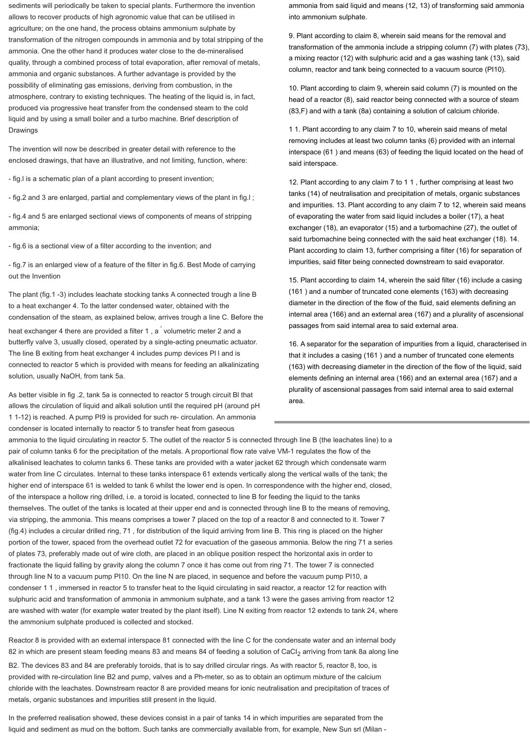ammonia from said liquid and means (12, 13) of transforming said ammonia into ammonium sulphate.

9. Plant according to claim 8, wherein said means for the removal and transformation of the ammonia include a stripping column (7) with plates (73), a mixing reactor (12) with sulphuric acid and a gas washing tank (13), said column, reactor and tank being connected to a vacuum source (PI10).

10. Plant according to claim 9, wherein said column (7) is mounted on the head of a reactor (8), said reactor being connected with a source of steam (83,F) and with a tank (8a) containing a solution of calcium chloride.

1 1. Plant according to any claim 7 to 10, wherein said means of metal removing includes at least two column tanks (6) provided with an internal interspace (61 ) and means (63) of feeding the liquid located on the head of said interspace.

12. Plant according to any claim 7 to 1 1 , further comprising at least two tanks (14) of neutralisation and precipitation of metals, organic substances and impurities. 13. Plant according to any claim 7 to 12, wherein said means of evaporating the water from said liquid includes a boiler (17), a heat exchanger (18), an evaporator (15) and a turbomachine (27), the outlet of said turbomachine being connected with the said heat exchanger (18). 14. Plant according to claim 13, further comprising a filter (16) for separation of impurities, said filter being connected downstream to said evaporator.

15. Plant according to claim 14, wherein the said filter (16) include a casing (161 ) and a number of truncated cone elements (163) with decreasing diameter in the direction of the flow of the fluid, said elements defining an internal area (166) and an external area (167) and a plurality of ascensional passages from said internal area to said external area.

16. A separator for the separation of impurities from a liquid, characterised in that it includes a casing (161 ) and a number of truncated cone elements (163) with decreasing diameter in the direction of the flow of the liquid, said elements defining an internal area (166) and an external area (167) and a plurality of ascensional passages from said internal area to said external area.

sediments will periodically be taken to special plants. Furthermore the invention allows to recover products of high agronomic value that can be utilised in agriculture; on the one hand, the process obtains ammonium sulphate by transformation of the nitrogen compounds in ammonia and by total stripping of the ammonia. One the other hand it produces water close to the de-mineralised quality, through a combined process of total evaporation, after removal of metals, ammonia and organic substances. A further advantage is provided by the possibility of eliminating gas emissions, deriving from combustion, in the atmosphere, contrary to existing techniques. The heating of the liquid is, in fact, produced via progressive heat transfer from the condensed steam to the cold liquid and by using a small boiler and a turbo machine. Brief description of Drawings

The invention will now be described in greater detail with reference to the enclosed drawings, that have an illustrative, and not limiting, function, where:

- fig.l is a schematic plan of a plant according to present invention;

- fig.2 and 3 are enlarged, partial and complementary views of the plant in fig.l ;

- fig.4 and 5 are enlarged sectional views of components of means of stripping ammonia;

- fig.6 is a sectional view of a filter according to the invention; and

- fig.7 is an enlarged view of a feature of the filter in fig.6. Best Mode of carrying out the Invention

The plant (fig.1 -3) includes leachate stocking tanks A connected trough a line B to a heat exchanger 4. To the latter condensed water, obtained with the condensation of the steam, as explained below, arrives trough a line C. Before the heat exchanger 4 there are provided a filter 1, a volumetric meter 2 and a butterfly valve 3, usually closed, operated by a single-acting pneumatic actuator. The line B exiting from heat exchanger 4 includes pump devices Pl l and is connected to reactor 5 which is provided with means for feeding an alkalinizating solution, usually NaOH, from tank 5a.

As better visible in fig .2, tank 5a is connected to reactor 5 trough circuit Bl that allows the circulation of liquid and alkali solution until the required pH (around pH 1 1-12) is reached. A pump PI9 is provided for such re- circulation. An ammonia condenser is located internally to reactor 5 to transfer heat from gaseous

ammonia to the liquid circulating in reactor 5. The outlet of the reactor 5 is connected through line B (the leachates line) to a pair of column tanks 6 for the precipitation of the metals. A proportional flow rate valve VM-1 regulates the flow of the alkalinised leachates to column tanks 6. These tanks are provided with a water jacket 62 through which condensate warm water from line C circulates. Internal to these tanks interspace 61 extends vertically along the vertical walls of the tank; the higher end of interspace 61 is welded to tank 6 whilst the lower end is open. In correspondence with the higher end, closed, of the interspace a hollow ring drilled, i.e. a toroid is located, connected to line B for feeding the liquid to the tanks themselves. The outlet of the tanks is located at their upper end and is connected through line B to the means of removing, via stripping, the ammonia. This means comprises a tower 7 placed on the top of a reactor 8 and connected to it. Tower 7 (fig.4) includes a circular drilled ring, 71 , for distribution of the liquid arriving from line B. This ring is placed on the higher portion of the tower, spaced from the overhead outlet 72 for evacuation of the gaseous ammonia. Below the ring 71 a series of plates 73, preferably made out of wire cloth, are placed in an oblique position respect the horizontal axis in order to fractionate the liquid falling by gravity along the column 7 once it has come out from ring 71. The tower 7 is connected through line N to a vacuum pump PI10. On the line N are placed, in sequence and before the vacuum pump PI10, a condenser 1 1 , immersed in reactor 5 to transfer heat to the liquid circulating in said reactor, a reactor 12 for reaction with sulphuric acid and transformation of ammonia in ammonium sulphate, and a tank 13 were the gases arriving from reactor 12 are washed with water (for example water treated by the plant itself). Line N exiting from reactor 12 extends to tank 24, where the ammonium sulphate produced is collected and stocked.

Reactor 8 is provided with an external interspace 81 connected with the line C for the condensate water and an internal body 82 in which are present steam feeding means 83 and means 84 of feeding a solution of CaCI<sub>2</sub> arriving from tank 8a along line B2. The devices 83 and 84 are preferably toroids, that is to say drilled circular rings. As with reactor 5, reactor 8, too, is provided with re-circulation line B2 and pump, valves and a Ph-meter, so as to obtain an optimum mixture of the calcium chloride with the leachates. Downstream reactor 8 are provided means for ionic neutralisation and precipitation of traces of metals, organic substances and impurities still present in the liquid.

In the preferred realisation showed, these devices consist in a pair of tanks 14 in which impurities are separated from the liquid and sediment as mud on the bottom. Such tanks are commercially available from, for example, New Sun srl (Milan -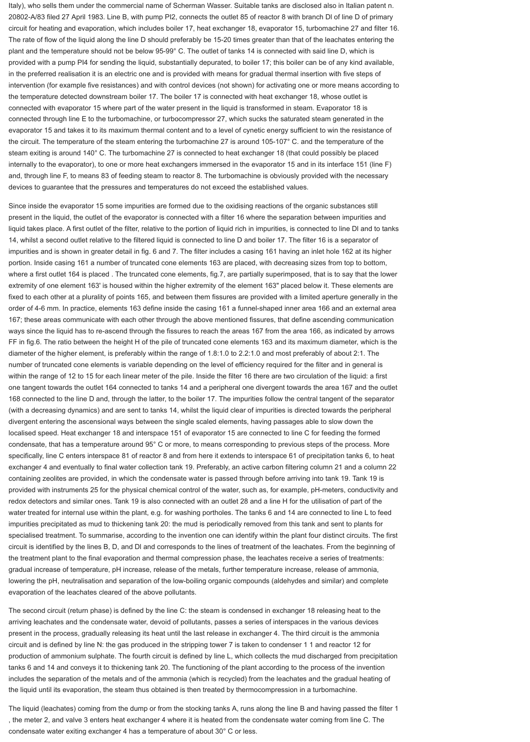Italy), who sells them under the commercial name of Scherman Wasser. Suitable tanks are disclosed also in Italian patent n. 20802-A/83 filed 27 April 1983. Line B, with pump PI2, connects the outlet 85 of reactor 8 with branch Dl of line D of primary circuit for heating and evaporation, which includes boiler 17, heat exchanger 18, evaporator 15, turbomachine 27 and filter 16. The rate of flow of the liquid along the line D should preferably be 15-20 times greater than that of the leachates entering the plant and the temperature should not be below 95-99° C. The outlet of tanks 14 is connected with said line D, which is provided with a pump PI4 for sending the liquid, substantially depurated, to boiler 17; this boiler can be of any kind available, in the preferred realisation it is an electric one and is provided with means for gradual thermal insertion with five steps of intervention (for example five resistances) and with control devices (not shown) for activating one or more means according to the temperature detected downstream boiler 17. The boiler 17 is connected with heat exchanger 18, whose outlet is connected with evaporator 15 where part of the water present in the liquid is transformed in steam. Evaporator 18 is connected through line E to the turbomachine, or turbocompressor 27, which sucks the saturated steam generated in the evaporator 15 and takes it to its maximum thermal content and to a level of cynetic energy sufficient to win the resistance of the circuit. The temperature of the steam entering the turbomachine 27 is around 105-107° C. and the temperature of the steam exiting is around 140° C. The turbomachine 27 is connected to heat exchanger 18 (that could possibly be placed internally to the evaporator), to one or more heat exchangers immersed in the evaporator 15 and in its interface 151 (line F) and, through line F, to means 83 of feeding steam to reactor 8. The turbomachine is obviously provided with the necessary devices to guarantee that the pressures and temperatures do not exceed the established values.

Since inside the evaporator 15 some impurities are formed due to the oxidising reactions of the organic substances still present in the liquid, the outlet of the evaporator is connected with a filter 16 where the separation between impurities and liquid takes place. A first outlet of the filter, relative to the portion of liquid rich in impurities, is connected to line Dl and to tanks 14, whilst a second outlet relative to the filtered liquid is connected to line D and boiler 17. The filter 16 is a separator of impurities and is shown in greater detail in fig. 6 and 7. The filter includes a casing 161 having an inlet hole 162 at its higher portion. Inside casing 161 a number of truncated cone elements 163 are placed, with decreasing sizes from top to bottom, where a first outlet 164 is placed . The truncated cone elements, fig.7, are partially superimposed, that is to say that the lower extremity of one element 163' is housed within the higher extremity of the element 163" placed below it. These elements are fixed to each other at a plurality of points 165, and between them fissures are provided with a limited aperture generally in the order of 4-6 mm. In practice, elements 163 define inside the casing 161 a funnel-shaped inner area 166 and an external area 167; these areas communicate with each other through the above mentioned fissures, that define ascending communication ways since the liquid has to re-ascend through the fissures to reach the areas 167 from the area 166, as indicated by arrows FF in fig.6. The ratio between the height H of the pile of truncated cone elements 163 and its maximum diameter, which is the diameter of the higher element, is preferably within the range of 1.8:1.0 to 2.2:1.0 and most preferably of about 2:1. The number of truncated cone elements is variable depending on the level of efficiency required for the filter and in general is within the range of 12 to 15 for each linear meter of the pile. Inside the filter 16 there are two circulation of the liquid: a first one tangent towards the outlet 164 connected to tanks 14 and a peripheral one divergent towards the area 167 and the outlet 168 connected to the line D and, through the latter, to the boiler 17. The impurities follow the central tangent of the separator (with a decreasing dynamics) and are sent to tanks 14, whilst the liquid clear of impurities is directed towards the peripheral divergent entering the ascensional ways between the single scaled elements, having passages able to slow down the localised speed. Heat exchanger 18 and interspace 151 of evaporator 15 are connected to line C for feeding the formed condensate, that has a temperature around 95° C or more, to means corresponding to previous steps of the process. More specifically, line C enters interspace 81 of reactor 8 and from here it extends to interspace 61 of precipitation tanks 6, to heat exchanger 4 and eventually to final water collection tank 19. Preferably, an active carbon filtering column 21 and a column 22 containing zeolites are provided, in which the condensate water is passed through before arriving into tank 19. Tank 19 is provided with instruments 25 for the physical chemical control of the water, such as, for example, pH-meters, conductivity and redox detectors and similar ones. Tank 19 is also connected with an outlet 28 and a line H for the utilisation of part of the water treated for internal use within the plant, e.g. for washing portholes. The tanks 6 and 14 are connected to line L to feed impurities precipitated as mud to thickening tank 20: the mud is periodically removed from this tank and sent to plants for specialised treatment. To summarise, according to the invention one can identify within the plant four distinct circuits. The first circuit is identified by the lines B, D, and Dl and corresponds to the lines of treatment of the leachates. From the beginning of the treatment plant to the final evaporation and thermal compression phase, the leachates receive a series of treatments: gradual increase of temperature, pH increase, release of the metals, further temperature increase, release of ammonia, lowering the pH, neutralisation and separation of the low-boiling organic compounds (aldehydes and similar) and complete evaporation of the leachates cleared of the above pollutants.

The second circuit (return phase) is defined by the line C: the steam is condensed in exchanger 18 releasing heat to the arriving leachates and the condensate water, devoid of pollutants, passes a series of interspaces in the various devices present in the process, gradually releasing its heat until the last release in exchanger 4. The third circuit is the ammonia circuit and is defined by line N: the gas produced in the stripping tower 7 is taken to condenser 1 1 and reactor 12 for production of ammonium sulphate. The fourth circuit is defined by line L, which collects the mud discharged from precipitation tanks 6 and 14 and conveys it to thickening tank 20. The functioning of the plant according to the process of the invention includes the separation of the metals and of the ammonia (which is recycled) from the leachates and the gradual heating of the liquid until its evaporation, the steam thus obtained is then treated by thermocompression in a turbomachine.

The liquid (leachates) coming from the dump or from the stocking tanks A, runs along the line B and having passed the filter 1 , the meter 2, and valve 3 enters heat exchanger 4 where it is heated from the condensate water coming from line C. The condensate water exiting exchanger 4 has a temperature of about 30° C or less.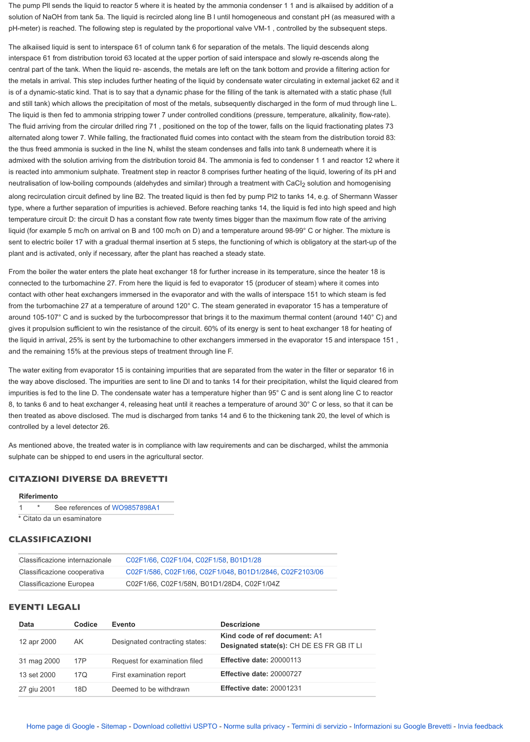around 105-107° C and is sucked by the turbocompressor that brings it to the maximum thermal content gives it propulsion sufficient to win the resistance of the circuit. 60% of its energy is sent to heat exchanger the liquid in arrival, 25% is sent by the turbomachine to other exchangers immersed in the evaporator 15 and the remaining 15% at the previous steps of treatment through line F.

The water exiting from evaporator 15 is containing impurities that are separated from the water in the filt the way above disclosed. The impurities are sent to line DI and to tanks 14 for their precipitation, whilst to impurities is fed to the line D. The condensate water has a temperature higher than  $95^{\circ}$  C and is sent along line C and line C and line C and line C and line C and line C and line C and line C and line C and line C an 8, to tanks 6 and to heat exchanger 4, releasing heat until it reaches a temperature of around 30° C or less, so then treated as above disclosed. The mud is discharged from tanks 14 and 6 to the thickening tank 20, the level controlled by a level detector 26.

As mentioned above, the treated water is in compliance with law requirements and can be discharged, whilst the ammonial the ammonial the ammonial the ammonial the ammonial the ammonial the ammonial the ammonial the ammonia sulphate can be shipped to end users in the agricultural sector.

# **CITAZIONI DIVERSE DA BREVETTI**

### **Riferimento**

1 \* See references of WO9857898A1

\* Citato da un esaminatore

## **CLASSIFICAZIONI**

| Classificazione internazionale | C02F1/66, C02F1/04, C02F1/58, B01D1/28                  |
|--------------------------------|---------------------------------------------------------|
| Classificazione cooperativa    | C02F1/586, C02F1/66, C02F1/048, B01D1/2846, C02F2103/06 |
| <b>Classificazione Europea</b> | C02F1/66, C02F1/58N, B01D1/28D4, C02F1/04Z              |

### **EVENTI LEGALI**

| <b>Data</b> | <b>Codice</b> | <b>Evento</b>                  | <b>Descrizione</b>                                                |
|-------------|---------------|--------------------------------|-------------------------------------------------------------------|
| 12 apr 2000 | AK.           | Designated contracting states: | Kind code of ref document: A1<br>Designated state(s): CH DE ES FI |
| 31 mag 2000 | 17P           | Request for examination filed  | Effective date: 20000113                                          |
| 13 set 2000 | 17Q           | First examination report       | Effective date: 20000727                                          |
| 27 giu 2001 | 18D           | Deemed to be withdrawn         | Effective date: 20001231                                          |